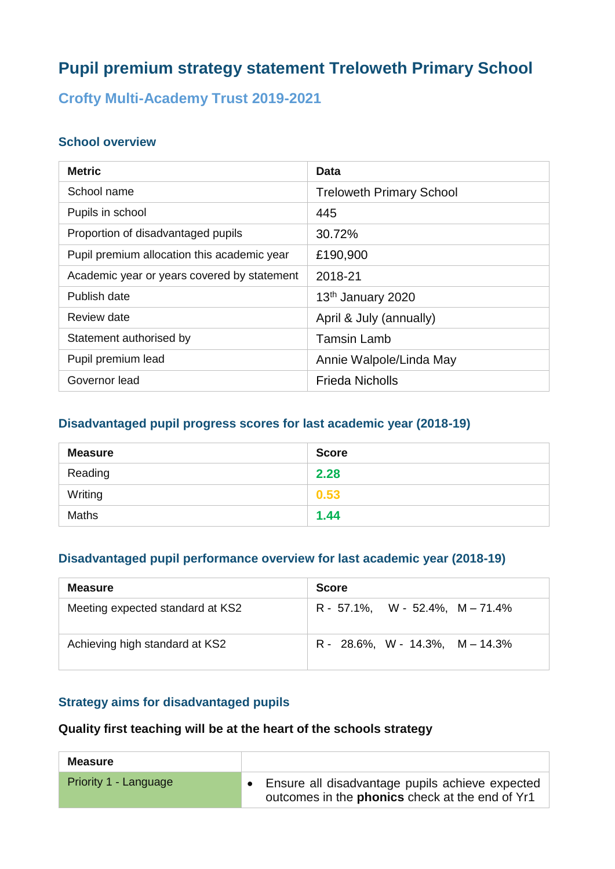# **Pupil premium strategy statement Treloweth Primary School**

# **Crofty Multi-Academy Trust 2019-2021**

#### **School overview**

| <b>Metric</b>                               | Data                            |
|---------------------------------------------|---------------------------------|
| School name                                 | <b>Treloweth Primary School</b> |
| Pupils in school                            | 445                             |
| Proportion of disadvantaged pupils          | 30.72%                          |
| Pupil premium allocation this academic year | £190,900                        |
| Academic year or years covered by statement | 2018-21                         |
| Publish date                                | 13 <sup>th</sup> January 2020   |
| Review date                                 | April & July (annually)         |
| Statement authorised by                     | <b>Tamsin Lamb</b>              |
| Pupil premium lead                          | Annie Walpole/Linda May         |
| Governor lead                               | <b>Frieda Nicholls</b>          |

## **Disadvantaged pupil progress scores for last academic year (2018-19)**

| <b>Measure</b> | <b>Score</b> |
|----------------|--------------|
| Reading        | 2.28         |
| Writing        | 0.53         |
| <b>Maths</b>   | 1.44         |

## **Disadvantaged pupil performance overview for last academic year (2018-19)**

| <b>Measure</b>                   | <b>Score</b>                         |
|----------------------------------|--------------------------------------|
| Meeting expected standard at KS2 | $R - 57.1\%$ , W - 52.4%, M - 71.4%  |
| Achieving high standard at KS2   | $R - 28.6\%, W - 14.3\%, M - 14.3\%$ |

## **Strategy aims for disadvantaged pupils**

## **Quality first teaching will be at the heart of the schools strategy**

| <b>Measure</b>        |                                                                                                           |
|-----------------------|-----------------------------------------------------------------------------------------------------------|
| Priority 1 - Language | Ensure all disadvantage pupils achieve expected<br>outcomes in the <b>phonics</b> check at the end of Yr1 |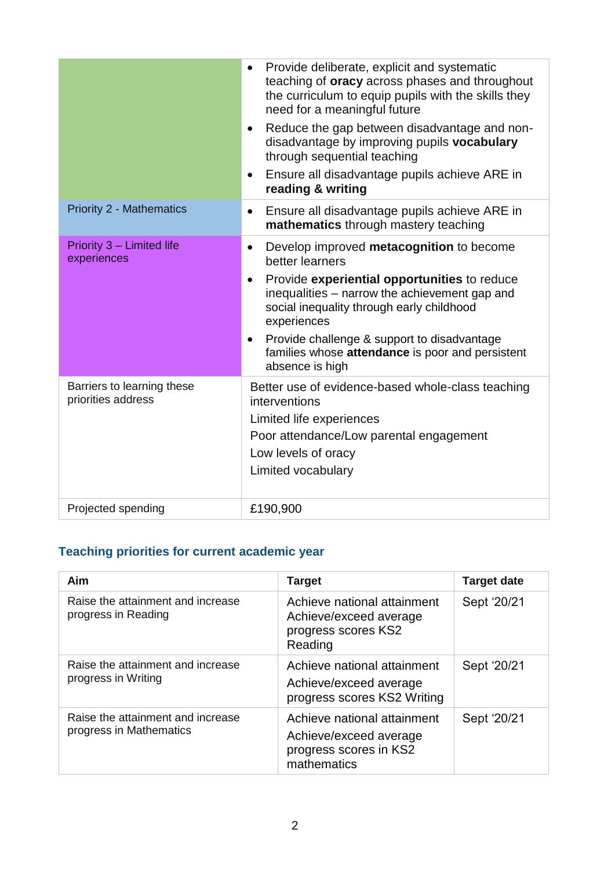|                                                  | Provide deliberate, explicit and systematic<br>teaching of <b>oracy</b> across phases and throughout<br>the curriculum to equip pupils with the skills they<br>need for a meaningful future<br>Reduce the gap between disadvantage and non-<br>$\bullet$<br>disadvantage by improving pupils vocabulary<br>through sequential teaching                                                |
|--------------------------------------------------|---------------------------------------------------------------------------------------------------------------------------------------------------------------------------------------------------------------------------------------------------------------------------------------------------------------------------------------------------------------------------------------|
|                                                  | Ensure all disadvantage pupils achieve ARE in<br>reading & writing                                                                                                                                                                                                                                                                                                                    |
| <b>Priority 2 - Mathematics</b>                  | Ensure all disadvantage pupils achieve ARE in<br>$\bullet$<br>mathematics through mastery teaching                                                                                                                                                                                                                                                                                    |
| Priority 3 - Limited life<br>experiences         | Develop improved metacognition to become<br>$\bullet$<br>better learners<br>Provide experiential opportunities to reduce<br>$\bullet$<br>inequalities – narrow the achievement gap and<br>social inequality through early childhood<br>experiences<br>Provide challenge & support to disadvantage<br>$\bullet$<br>families whose attendance is poor and persistent<br>absence is high |
| Barriers to learning these<br>priorities address | Better use of evidence-based whole-class teaching<br>interventions<br>Limited life experiences<br>Poor attendance/Low parental engagement<br>Low levels of oracy<br>Limited vocabulary                                                                                                                                                                                                |
| Projected spending                               | £190,900                                                                                                                                                                                                                                                                                                                                                                              |

# **Teaching priorities for current academic year**

| Aim                                                          | <b>Target</b>                                                                                  | <b>Target date</b> |
|--------------------------------------------------------------|------------------------------------------------------------------------------------------------|--------------------|
| Raise the attainment and increase<br>progress in Reading     | Achieve national attainment<br>Achieve/exceed average<br>progress scores KS2<br>Reading        | Sept '20/21        |
| Raise the attainment and increase<br>progress in Writing     | Achieve national attainment<br>Achieve/exceed average<br>progress scores KS2 Writing           | Sept '20/21        |
| Raise the attainment and increase<br>progress in Mathematics | Achieve national attainment<br>Achieve/exceed average<br>progress scores in KS2<br>mathematics | Sept '20/21        |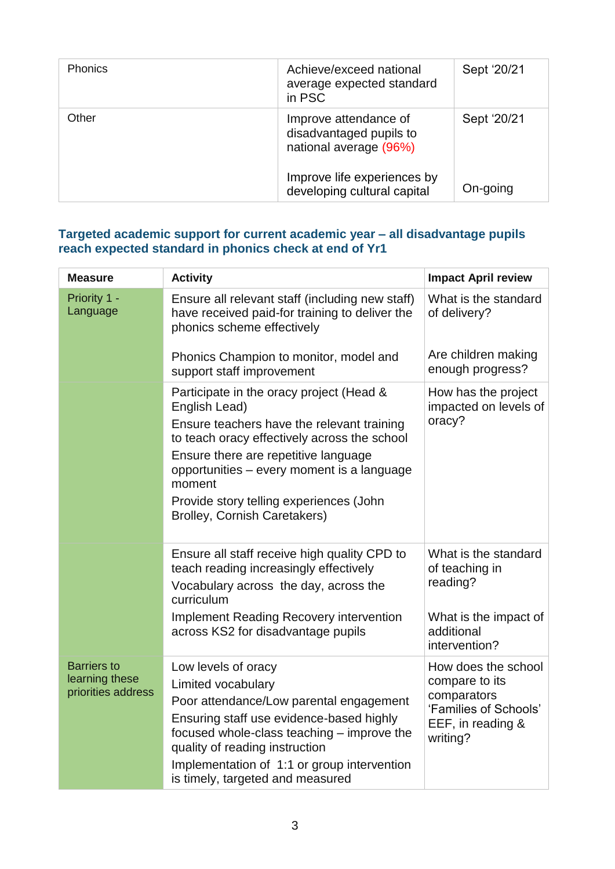| <b>Phonics</b> | Achieve/exceed national<br>average expected standard<br>in PSC             | Sept '20/21 |
|----------------|----------------------------------------------------------------------------|-------------|
| Other          | Improve attendance of<br>disadvantaged pupils to<br>national average (96%) | Sept '20/21 |
|                | Improve life experiences by<br>developing cultural capital                 | On-going    |

#### **Targeted academic support for current academic year – all disadvantage pupils reach expected standard in phonics check at end of Yr1**

| <b>Measure</b>                       | <b>Activity</b>                                                                                                                 | <b>Impact April review</b>                             |  |
|--------------------------------------|---------------------------------------------------------------------------------------------------------------------------------|--------------------------------------------------------|--|
| Priority 1 -<br>Language             | Ensure all relevant staff (including new staff)<br>have received paid-for training to deliver the<br>phonics scheme effectively | What is the standard<br>of delivery?                   |  |
|                                      | Phonics Champion to monitor, model and<br>support staff improvement                                                             | Are children making<br>enough progress?                |  |
|                                      | Participate in the oracy project (Head &<br>English Lead)                                                                       | How has the project<br>impacted on levels of           |  |
|                                      | Ensure teachers have the relevant training<br>to teach oracy effectively across the school                                      | oracy?                                                 |  |
|                                      | Ensure there are repetitive language<br>opportunities - every moment is a language<br>moment                                    |                                                        |  |
|                                      | Provide story telling experiences (John<br><b>Brolley, Cornish Caretakers)</b>                                                  |                                                        |  |
|                                      | Ensure all staff receive high quality CPD to<br>teach reading increasingly effectively                                          | What is the standard<br>of teaching in<br>reading?     |  |
|                                      | Vocabulary across the day, across the<br>curriculum                                                                             |                                                        |  |
|                                      | <b>Implement Reading Recovery intervention</b><br>across KS2 for disadvantage pupils                                            | What is the impact of<br>additional<br>intervention?   |  |
| <b>Barriers to</b><br>learning these | Low levels of oracy                                                                                                             | How does the school                                    |  |
| priorities address                   | Limited vocabulary<br>Poor attendance/Low parental engagement                                                                   | compare to its<br>comparators                          |  |
|                                      | Ensuring staff use evidence-based highly<br>focused whole-class teaching - improve the<br>quality of reading instruction        | 'Families of Schools'<br>EEF, in reading &<br>writing? |  |
|                                      | Implementation of 1:1 or group intervention<br>is timely, targeted and measured                                                 |                                                        |  |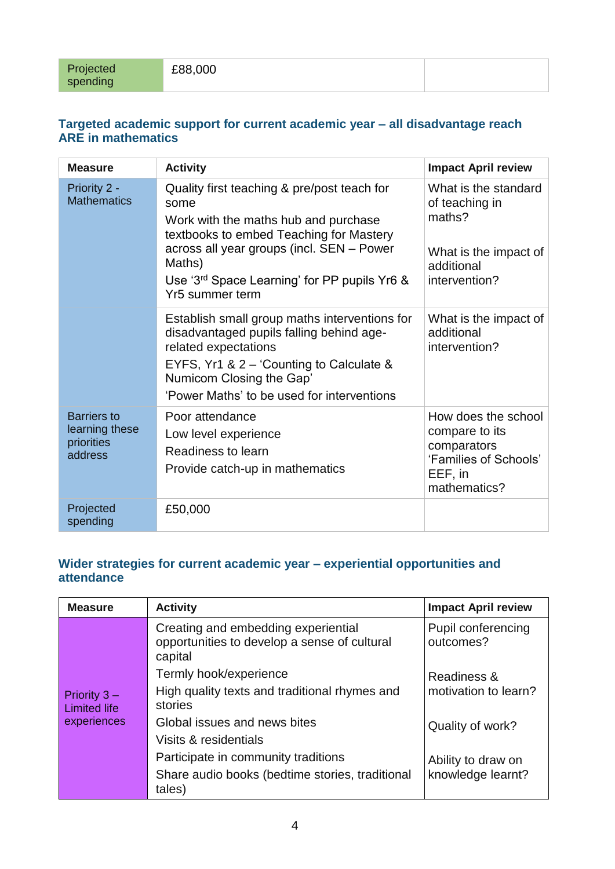## **Targeted academic support for current academic year – all disadvantage reach ARE in mathematics**

| <b>Measure</b>                                                | <b>Activity</b>                                                                                                                                                                                                                                                  | <b>Impact April review</b>                                                                               |
|---------------------------------------------------------------|------------------------------------------------------------------------------------------------------------------------------------------------------------------------------------------------------------------------------------------------------------------|----------------------------------------------------------------------------------------------------------|
| Priority 2 -<br><b>Mathematics</b>                            | Quality first teaching & pre/post teach for<br>some<br>Work with the maths hub and purchase<br>textbooks to embed Teaching for Mastery<br>across all year groups (incl. SEN - Power<br>Maths)<br>Use '3rd Space Learning' for PP pupils Yr6 &<br>Yr5 summer term | What is the standard<br>of teaching in<br>maths?<br>What is the impact of<br>additional<br>intervention? |
|                                                               | Establish small group maths interventions for<br>disadvantaged pupils falling behind age-<br>related expectations<br>EYFS, Yr1 & $2 -$ Counting to Calculate &<br>Numicom Closing the Gap'<br>'Power Maths' to be used for interventions                         | What is the impact of<br>additional<br>intervention?                                                     |
| <b>Barriers to</b><br>learning these<br>priorities<br>address | Poor attendance<br>Low level experience<br>Readiness to learn<br>Provide catch-up in mathematics                                                                                                                                                                 | How does the school<br>compare to its<br>comparators<br>'Families of Schools'<br>EEF, in<br>mathematics? |
| Projected<br>spending                                         | £50,000                                                                                                                                                                                                                                                          |                                                                                                          |

## **Wider strategies for current academic year – experiential opportunities and attendance**

| <b>Measure</b>                        | <b>Activity</b>                                                                                | <b>Impact April review</b>      |
|---------------------------------------|------------------------------------------------------------------------------------------------|---------------------------------|
|                                       | Creating and embedding experiential<br>opportunities to develop a sense of cultural<br>capital | Pupil conferencing<br>outcomes? |
|                                       | Termly hook/experience                                                                         | Readiness &                     |
| Priority $3 -$<br><b>Limited life</b> | High quality texts and traditional rhymes and<br>stories                                       | motivation to learn?            |
| experiences                           | Global issues and news bites                                                                   | Quality of work?                |
|                                       | Visits & residentials                                                                          |                                 |
|                                       | Participate in community traditions                                                            | Ability to draw on              |
|                                       | Share audio books (bedtime stories, traditional<br>tales)                                      | knowledge learnt?               |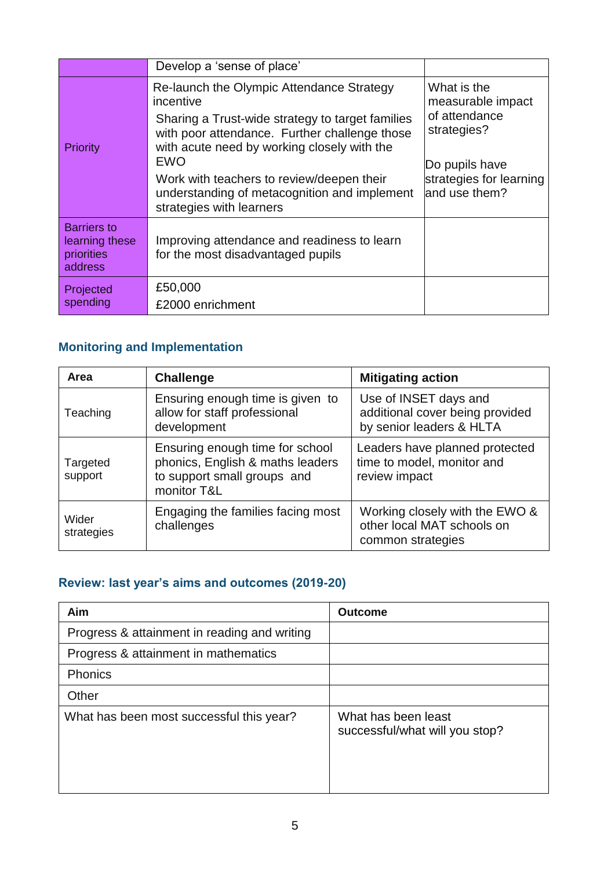|                                                               | Develop a 'sense of place'                                                                                                                                                                                                                                                                                                                        |                                                                                                                                 |
|---------------------------------------------------------------|---------------------------------------------------------------------------------------------------------------------------------------------------------------------------------------------------------------------------------------------------------------------------------------------------------------------------------------------------|---------------------------------------------------------------------------------------------------------------------------------|
| <b>Priority</b>                                               | Re-launch the Olympic Attendance Strategy<br>incentive<br>Sharing a Trust-wide strategy to target families<br>with poor attendance. Further challenge those<br>with acute need by working closely with the<br><b>EWO</b><br>Work with teachers to review/deepen their<br>understanding of metacognition and implement<br>strategies with learners | What is the<br>measurable impact<br>of attendance<br>strategies?<br>Do pupils have<br>strategies for learning<br>land use them? |
| <b>Barriers to</b><br>learning these<br>priorities<br>address | Improving attendance and readiness to learn<br>for the most disadvantaged pupils                                                                                                                                                                                                                                                                  |                                                                                                                                 |
| Projected<br>spending                                         | £50,000<br>£2000 enrichment                                                                                                                                                                                                                                                                                                                       |                                                                                                                                 |

# **Monitoring and Implementation**

| Area                | <b>Challenge</b>                                                                                                  | <b>Mitigating action</b>                                                             |
|---------------------|-------------------------------------------------------------------------------------------------------------------|--------------------------------------------------------------------------------------|
| Teaching            | Ensuring enough time is given to<br>allow for staff professional<br>development                                   | Use of INSET days and<br>additional cover being provided<br>by senior leaders & HLTA |
| Targeted<br>support | Ensuring enough time for school<br>phonics, English & maths leaders<br>to support small groups and<br>monitor T&L | Leaders have planned protected<br>time to model, monitor and<br>review impact        |
| Wider<br>strategies | Engaging the families facing most<br>challenges                                                                   | Working closely with the EWO &<br>other local MAT schools on<br>common strategies    |

# **Review: last year's aims and outcomes (2019-20)**

| Aim                                          | <b>Outcome</b>                                        |
|----------------------------------------------|-------------------------------------------------------|
| Progress & attainment in reading and writing |                                                       |
| Progress & attainment in mathematics         |                                                       |
| Phonics                                      |                                                       |
| Other                                        |                                                       |
| What has been most successful this year?     | What has been least<br>successful/what will you stop? |